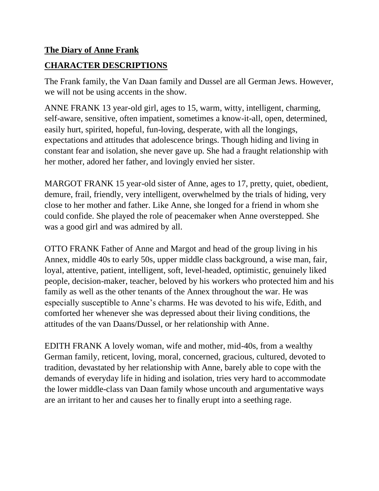## **The Diary of Anne Frank**

## **CHARACTER DESCRIPTIONS**

The Frank family, the Van Daan family and Dussel are all German Jews. However, we will not be using accents in the show.

ANNE FRANK 13 year-old girl, ages to 15, warm, witty, intelligent, charming, self-aware, sensitive, often impatient, sometimes a know-it-all, open, determined, easily hurt, spirited, hopeful, fun-loving, desperate, with all the longings, expectations and attitudes that adolescence brings. Though hiding and living in constant fear and isolation, she never gave up. She had a fraught relationship with her mother, adored her father, and lovingly envied her sister.

MARGOT FRANK 15 year-old sister of Anne, ages to 17, pretty, quiet, obedient, demure, frail, friendly, very intelligent, overwhelmed by the trials of hiding, very close to her mother and father. Like Anne, she longed for a friend in whom she could confide. She played the role of peacemaker when Anne overstepped. She was a good girl and was admired by all.

OTTO FRANK Father of Anne and Margot and head of the group living in his Annex, middle 40s to early 50s, upper middle class background, a wise man, fair, loyal, attentive, patient, intelligent, soft, level-headed, optimistic, genuinely liked people, decision-maker, teacher, beloved by his workers who protected him and his family as well as the other tenants of the Annex throughout the war. He was especially susceptible to Anne's charms. He was devoted to his wife, Edith, and comforted her whenever she was depressed about their living conditions, the attitudes of the van Daans/Dussel, or her relationship with Anne.

EDITH FRANK A lovely woman, wife and mother, mid-40s, from a wealthy German family, reticent, loving, moral, concerned, gracious, cultured, devoted to tradition, devastated by her relationship with Anne, barely able to cope with the demands of everyday life in hiding and isolation, tries very hard to accommodate the lower middle-class van Daan family whose uncouth and argumentative ways are an irritant to her and causes her to finally erupt into a seething rage.